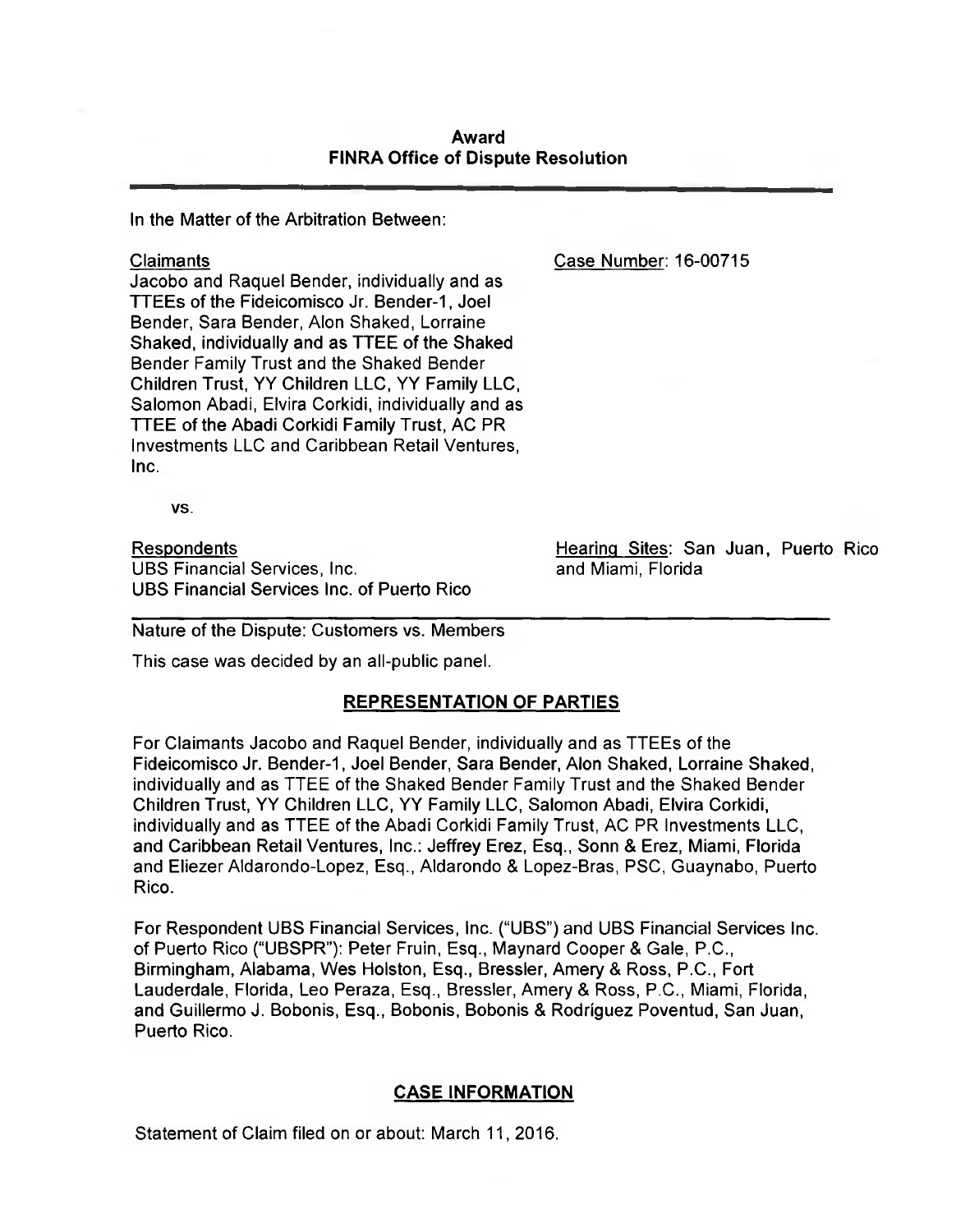## **Award FINRA Office of Dispute Resolution**

In the Matter of the Arbitration Between:

Claimants Case Number: 16-00715

Jacobo and Raquel Bender, individually and as TTEEs of the Fideicomisco Jr. Bender-1, Joel Bender, Sara Bender, Alon Shaked, Lorraine Shaked, individually and as TTEE of the Shaked Bender Family Trust and the Shaked Bender Children Trust, YY Children LLC, YY Family LLC, Salomon Abadi, Elvira Corkidi, individually and as TTEE of the Abadi Corkidi Family Trust, AC PR Investments LLC and Caribbean Retail Ventures, Inc.

VS.

Respondents UBS Financial Services, Inc. UBS Financial Services Inc. of Puerto Rico Hearing Sites: San Juan, Puerto Rico and Miami, Florida

Nature of the Dispute: Customers vs. Members

This case was decided by an all-public panel.

# **REPRESENTATION OF PARTIES**

For Claimants Jacobo and Raquel Bender, individually and as TTEEs of the Fideicomisco Jr. Bender-1, Joel Bender, Sara Bender, Alon Shaked, Lorraine Shaked, individually and as TTEE of the Shaked Bender Family Trust and the Shaked Bender Children Trust, YY Children LLC, YY Family LLC, Salomon Abadi, Elvira Corkidi, individually and as TTEE of the Abadi Corkidi Family Trust, AC PR Investments LLC, and Caribbean Retail Ventures, Inc.: Jeffrey Erez, Esq., Sonn & Erez, Miami, Florida and Eliezer Aldarondo-Lopez, Esq., Aldarondo & Lopez-Bras, PSC, Guaynabo, Puerto Rico.

For Respondent UBS Financial Services, Inc. ("UBS") and UBS Financial Services Inc. of Puerto Rico ("UBSPR"): Peter Fruin, Esq., Maynard Cooper & Gale, P.C., Birmingham, Alabama, Wes Holston, Esq., Bressler, Amery & Ross, P.C., Fort Lauderdale, Florida, Leo Peraza, Esq., Bressler, Amery & Ross, P.C., Miami, Florida, and Guillermo J. Bobonis, Esq., Bobonis, Bobonis & Rodriguez Poventud, San Juan, Puerto Rico.

# **CASE INFORMATION**

Statement of Claim filed on or about: March 11, 2016.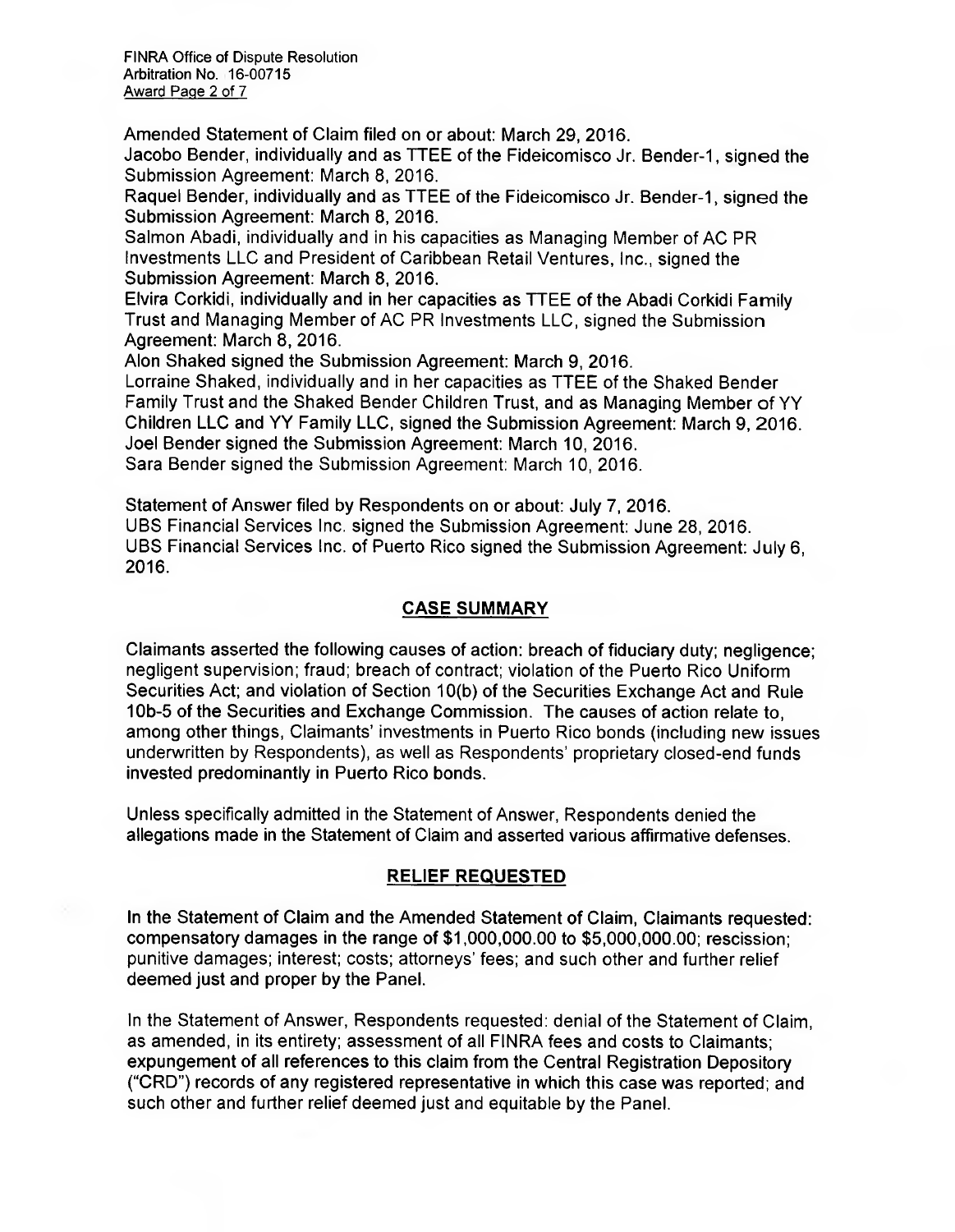FINRA Office of Dispute Resolution Arbitration No. 16-00715 Award Page 2 of 7

Amended Statement of Claim filed on or about: March 29, 2016. Jacobo Bender, individually and as TTEE of the Fideicomisco Jr. Bender-1, signed the

Submission Agreement: March 8, 2016.

Raquel Bender, individually and as TTEE of the Fideicomisco Jr. Bender-1, signed the Submission Agreement: March 8, 2016.

Salmon Abadi, individually and in his capacities as Managing Member of AC PR Investments LLC and President of Caribbean Retail Ventures, Inc., signed the Submission Agreement: March 8, 2016.

Elvira Corkidi, individually and in her capacities as TTEE of the Abadi Corkidi Farnily Trust and Managing Member of AC PR Investments LLC, signed the Submission Agreement: March 8, 2016.

Alon Shaked signed the Submission Agreement: March 9, 2016.

Lorraine Shaked, individually and in her capacities as TTEE of the Shaked Bender Family Trust and the Shaked Bender Children Trust, and as Managing Member of YY Children LLC and YY Family LLC, signed the Submission Agreement: March 9, 2016. Joel Bender signed the Submission Agreement: March 10, 2016. Sara Bender signed the Submission Agreement: March 10, 2016.

Statement of Answer filed by Respondents on or about: July 7, 2016. UBS Financial Services Inc. signed the Submission Agreement: June 28, 2016. UBS Financial Services Inc. of Puerto Rico signed the Submission Agreement: July 6, 2016.

# **CASE SUMMARY**

Claimants asserted the following causes of action: breach of fiduciary duty; negligence; negligent supervision; fraud; breach of contract; violation of the Puerto Rico Uniform Securities Act; and violation of Section 10(b) of the Securities Exchange Act and Rule 10b-5 of the Securities and Exchange Commission. The causes of action relate to, among other things, Claimants investments in Puerto Rico bonds (including new issues underwritten by Respondents), as well as Respondents' proprietary closed-end funds invested predominantly in Puerto Rico bonds.

Unless specifically admitted in the Statement of Answer, Respondents denied the allegations made in the Statement of Claim and asserted various affirmative defenses.

# **RELIEF REQUESTED**

In the Statement of Claim and the Amended Statement of Claim, Claimants requested: compensatory damages in the range of \$1,000,000.00 to \$5,000,000.00; rescission; punitive damages; interest; costs; attorneys' fees; and such other and further relief deemed just and proper by the Panel.

In the Statement of Answer, Respondents requested: denial of the Statement of Claim, as amended, in its entirety; assessment of all FINRA fees and costs to Claimants; expungement of all references to this claim from the Central Registration Depository ("CRD") records of any registered representative in which this case was reported; and such other and further relief deemed just and equitable by the Panel.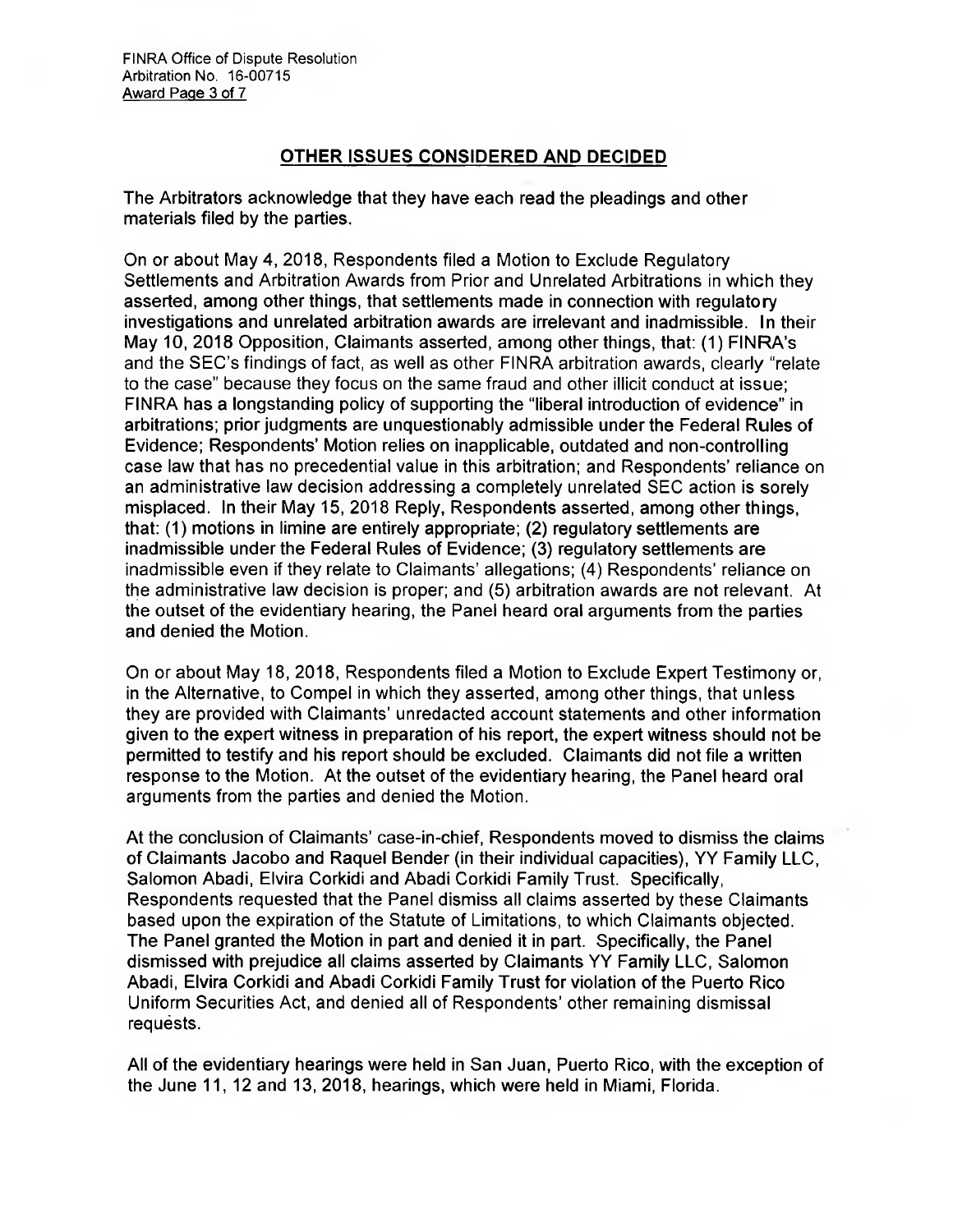# **OTHER ISSUES CONSIDERED AND DECIDED**

The Arbitrators acknowledge that they have each read the pleadings and other materials filed by the parties.

On or about May 4, 2018, Respondents filed a Motion to Exclude Regulatory Settlements and Arbitration Awards from Prior and Unrelated Arbitrations in which they asserted, among other things, that settlements made in connection with regulatory investigations and unrelated arbitration awards are irrelevant and inadmissible. In their May 10, 2018 Opposition, Claimants asserted, among other things, that: (1) FINRA's and the SEC's findings of fact, as well as other FINRA arbitration awards, clearly "relate to the case" because they focus on the same fraud and other illicit conduct at issue; FINRA has a longstanding policy of supporting the "liberal introduction of evidence" in arbitrations; prior judgments are unquestionably admissible under the Federal Rules of Evidence; Respondents' Motion relies on inapplicable, outdated and non-controlling case law that has no precedential value in this arbitration; and Respondents' reliance on an administrative law decision addressing a completely unrelated SEC action is sorely misplaced. In their May 15, 2018 Reply, Respondents asserted, among other things, that: (1) motions in limine are entirely appropriate; (2) regulatory settlements are inadmissible under the Federal Rules of Evidence; (3) regulatory settlements are inadmissible even if they relate to Claimants' allegations; (4) Respondents' reliance on the administrative law decision is proper; and (5) arbitration awards are not relevant. At the outset of the evidentiary hearing, the Panel heard oral arguments from the parties and denied the Motion.

On or about May 18, 2018, Respondents filed a Motion to Exclude Expert Testimony or, in the Alternative, to Compel in which they asserted, among other things, that unless they are provided with Claimants' unredacted account statements and other information given to the expert witness in preparation of his report, the expert witness should not be permitted to testify and his report should be excluded. Claimants did not file a written response to the Motion. At the outset of the evidentiary hearing, the Panel heard oral arguments from the parties and denied the Motion.

At the conclusion of Claimants' case-in-chief, Respondents moved to dismiss the claims of Claimants Jacobo and Raquel Bender (in their individual capacities), YY Family LLC, Salomon Abadi, Elvira Corkidi and Abadi Corkidi Family Trust. Specifically, Respondents requested that the Panel dismiss all claims asserted by these Claimants based upon the expiration of the Statute of Limitations, to which Claimants objected. The Panel granted the Motion in part and denied it in part. Specifically, the Panel dismissed with prejudice all claims asserted by Claimants YY Family LLC, Salomon Abadi, Elvira Corkidi and Abadi Corkidi Family Trust for violation of the Puerto Rico Uniform Securities Act, and denied all of Respondents' other remaining dismissal requests.

All of the evidentiary hearings were held in San Juan, Puerto Rico, with the exception of the June 11, 12 and 13, 2018, hearings, which were held in Miami, Florida.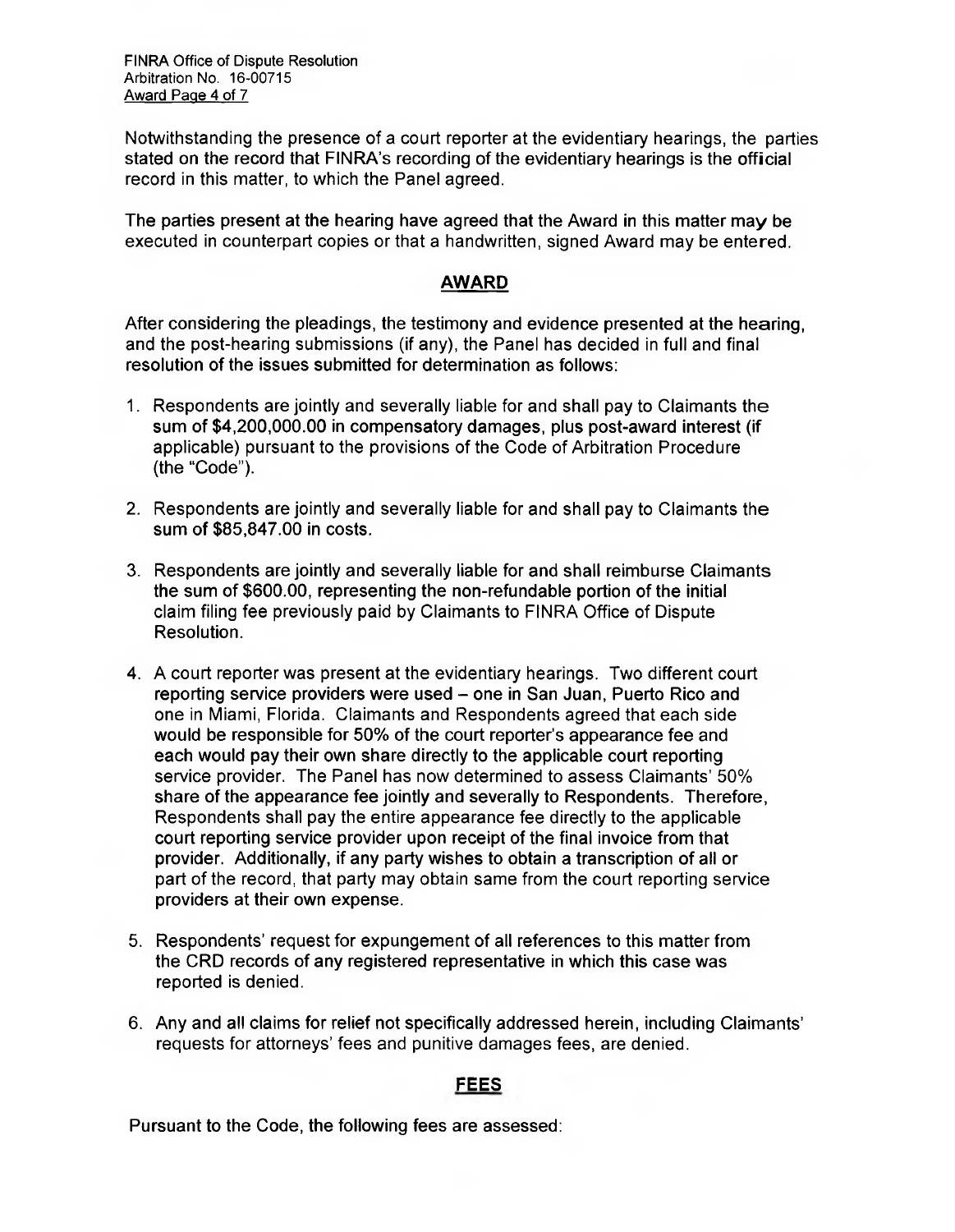FINRA Office of Dispute Resolution Arbitration No. 16-00715 Award Page 4 of 7

Notwithstanding the presence of a court reporter at the evidentiary hearings, the parties stated on the record that FINRA's recording of the evidentiary hearings is the official record in this matter, to which the Panel agreed.

The parties present at the hearing have agreed that the Award in this matter may be executed in counterpart copies or that a handwritten, signed Award may be entered.

# **AWARD**

After considering the pleadings, the testimony and evidence presented at the hearing, and the post-hearing submissions (if any), the Panel has decided in full and final resolution of the issues submitted for determination as follows:

- 1. Respondents are jointly and severally liable for and shall pay to Claimants the sum of \$4,200,000.00 in compensatory damages, plus post-award interest (if applicable) pursuant to the provisions of the Code of Arbitration Procedure (the "Code").
- 2. Respondents are jointly and severally liable for and shall pay to Claimants the sum of \$85,847.00 in costs.
- 3. Respondents are jointly and severally liable for and shall reimburse Claimants the sum of \$600.00, representing the non-refundable portion of the initial claim filing fee previously paid by Claimants to FINRA Office of Dispute Resolution.
- 4. A court reporter was present at the evidentiary hearings. Two different court reporting service providers were used — one in San Juan, Puerto Rico and one in Miami, Florida. Claimants and Respondents agreed that each side would be responsible for 50% of the court reporter's appearance fee and each would pay their own share directly to the applicable court reporting service provider. The Panel has now determined to assess Claimants' 50% share of the appearance fee jointly and severally to Respondents. Therefore, Respondents shall pay the entire appearance fee directly to the applicable court reporting service provider upon receipt of the final invoice from that provider. Additionally, if any party wishes to obtain a transcription of all or part of the record, that party may obtain same from the court reporting service providers at their own expense.
- 5. Respondents' request for expungement of all references to this matter from the CRD records of any registered representative in which this case was reported is denied.
- 6. Any and all claims for relief not specifically addressed herein, including Claimants' requests for attorneys' fees and punitive damages fees, are denied.

# **FEES**

Pursuant to the Code, the following fees are assessed: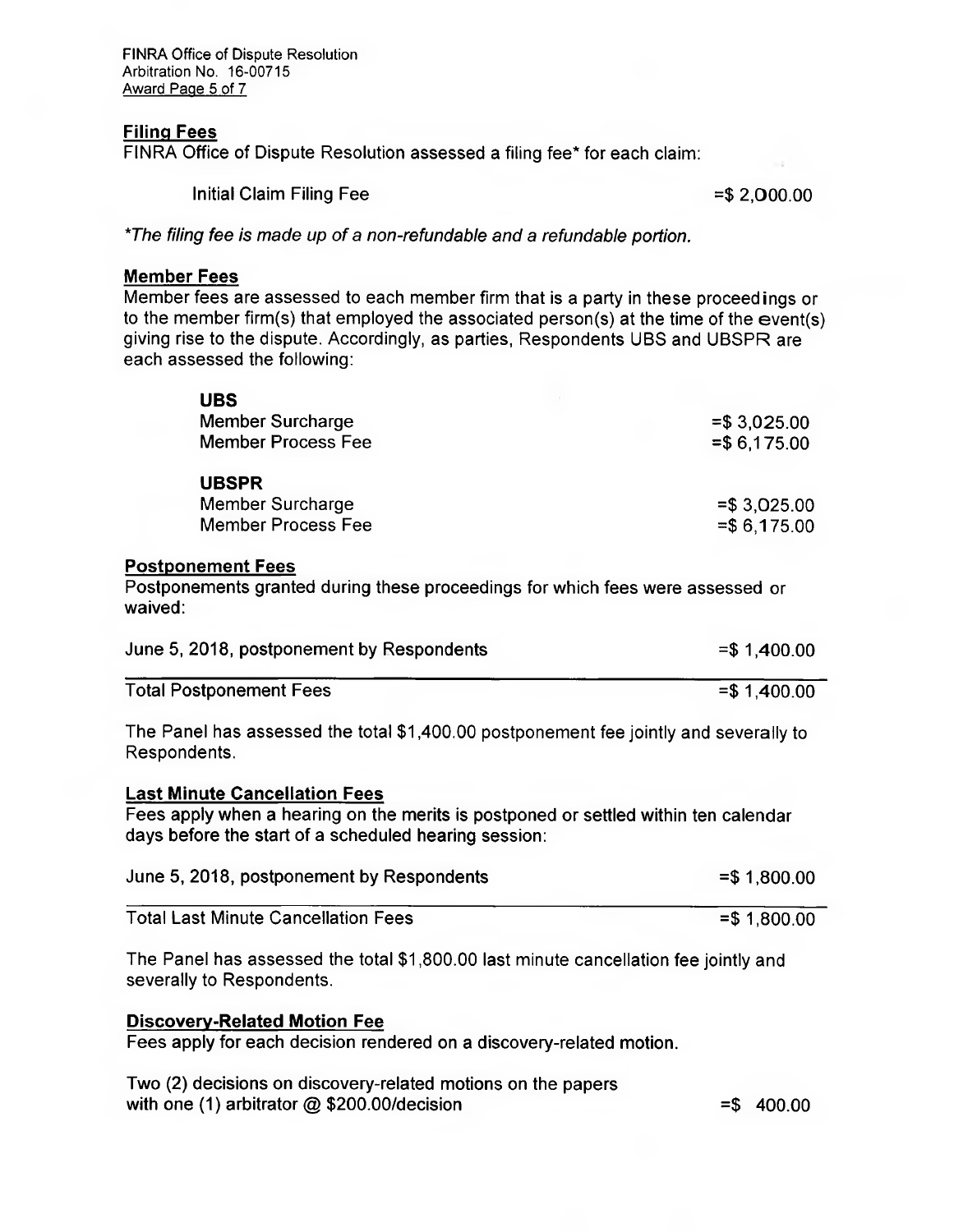FINRA Office of Dispute Resolution Arbitration No. 16-00715 Award Page 5 of 7

#### **Filing Fees**

FINRA Office of Dispute Resolution assessed a filing fee\* for each claim:

Initial Claim Filing Fee  $= $2,000.00$ 

*\*The filing fee is made up of a non-refundable and a refundable portion.* 

### **Member Fees**

Member fees are assessed to each member firm that is a party in these proceed ings or to the member firm(s) that employed the associated person(s) at the time of the event(s) giving rise to the dispute. Accordingly, as parties, Respondents UBS and UBSPR are each assessed the following:

| <b>UBS</b>                                                                                                                                                                           |                                |
|--------------------------------------------------------------------------------------------------------------------------------------------------------------------------------------|--------------------------------|
| <b>Member Surcharge</b><br><b>Member Process Fee</b>                                                                                                                                 | $= $3,025.00$<br>$= $6,175.00$ |
| <b>UBSPR</b><br>Member Surcharge<br><b>Member Process Fee</b>                                                                                                                        | $= $3,025.00$<br>$= $6,175.00$ |
| <b>Postponement Fees</b><br>Postponements granted during these proceedings for which fees were assessed or<br>waived:                                                                |                                |
| June 5, 2018, postponement by Respondents                                                                                                                                            | $= $1,400.00$                  |
| <b>Total Postponement Fees</b>                                                                                                                                                       | $= $1,400.00$                  |
| The Panel has assessed the total \$1,400.00 postponement fee jointly and severally to<br>Respondents.                                                                                |                                |
| <b>Last Minute Cancellation Fees</b><br>Fees apply when a hearing on the merits is postponed or settled within ten calendar<br>days before the start of a scheduled hearing session: |                                |
| June 5, 2018, postponement by Respondents                                                                                                                                            | $= $1,800.00$                  |
| <b>Total Last Minute Cancellation Fees</b>                                                                                                                                           | $= $1,800.00$                  |
| The Panel has assessed the total \$1,800.00 last minute cancellation fee jointly and<br>severally to Respondents.                                                                    |                                |
| <b>Discovery-Related Motion Fee</b><br>Fees apply for each decision rendered on a discovery-related motion.                                                                          |                                |
| Two (2) decisions on discovery-related motions on the papers                                                                                                                         |                                |

with one (1) arbitrator  $@$  \$200.00/decision  $= $$  400.00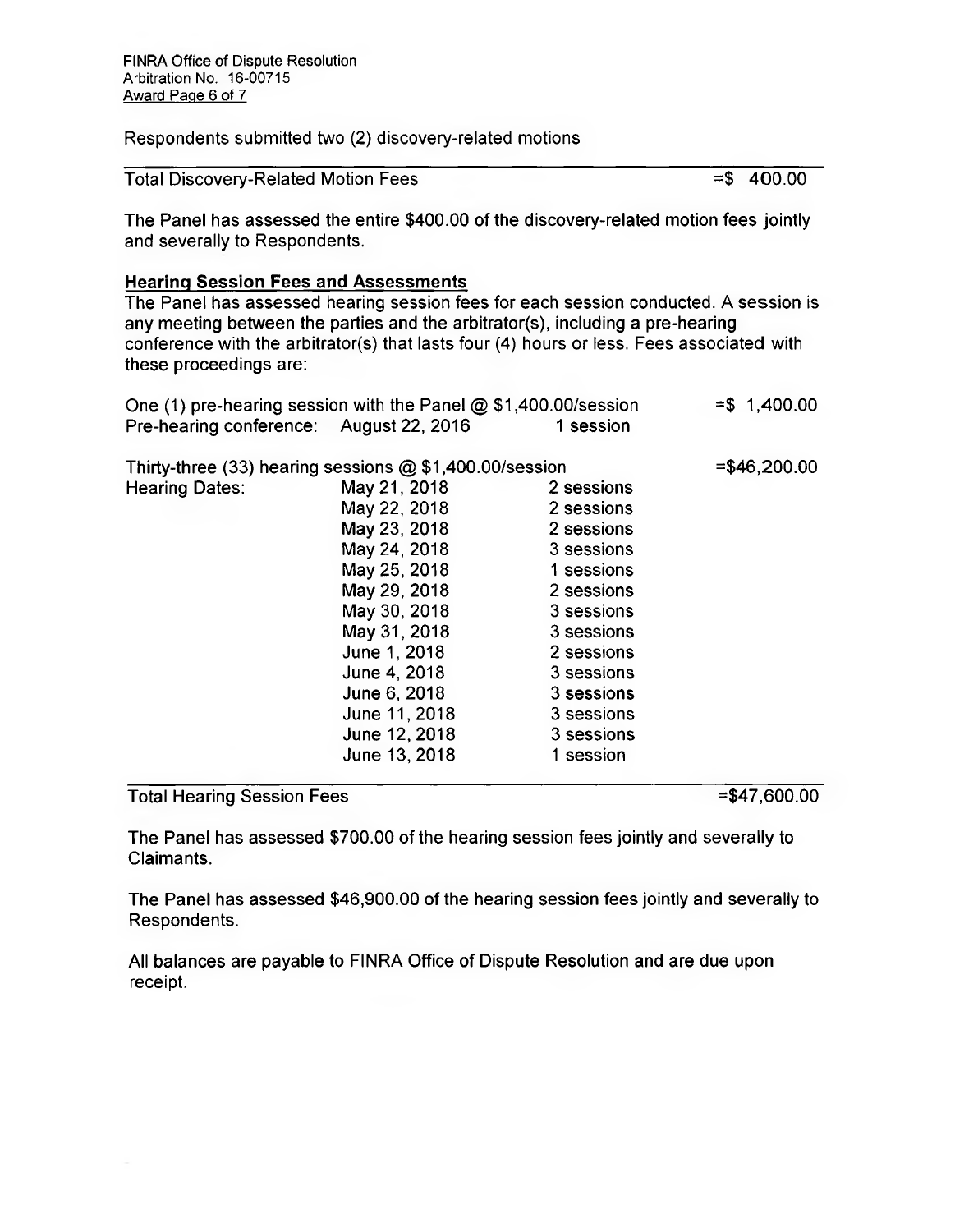Respondents submitted two (2) discovery-related motions

| <b>Total Discovery-Related Motion Fees</b> | $= $ 400.00$ |
|--------------------------------------------|--------------|
|                                            |              |

The Panel has assessed the entire \$400.00 of the discovery-related motion fees jointly and severally to Respondents.

#### **Hearing Session Fees and Assessments**

The Panel has assessed hearing session fees for each session conducted. A session is any meeting between the parties and the arbitrator(s), including a pre-hearing conference with the arbitrator(s) that lasts four (4) hours or less. Fees associated with these proceedings are:

| One (1) pre-hearing session with the Panel $@$ \$1,400.00/session |               |            | $= $ 1,400.00$ |
|-------------------------------------------------------------------|---------------|------------|----------------|
| Pre-hearing conference: August 22, 2016                           |               | 1 session  |                |
| Thirty-three $(33)$ hearing sessions $@$ \$1,400.00/session       |               |            | $= $46,200.00$ |
| <b>Hearing Dates:</b>                                             | May 21, 2018  | 2 sessions |                |
|                                                                   | May 22, 2018  | 2 sessions |                |
|                                                                   | May 23, 2018  | 2 sessions |                |
|                                                                   | May 24, 2018  | 3 sessions |                |
|                                                                   | May 25, 2018  | 1 sessions |                |
|                                                                   | May 29, 2018  | 2 sessions |                |
|                                                                   | May 30, 2018  | 3 sessions |                |
|                                                                   | May 31, 2018  | 3 sessions |                |
|                                                                   | June 1, 2018  | 2 sessions |                |
|                                                                   | June 4, 2018  | 3 sessions |                |
|                                                                   | June 6, 2018  | 3 sessions |                |
|                                                                   | June 11, 2018 | 3 sessions |                |
|                                                                   | June 12, 2018 | 3 sessions |                |
|                                                                   | June 13, 2018 | 1 session  |                |

# Total Hearing Session Fees =  $\frac{47,600.00}{5}$

The Panel has assessed \$700.00 of the hearing session fees jointly and severally to Claimants.

The Panel has assessed \$46,900.00 of the hearing session fees jointly and severally to Respondents.

All balances are payable to FINRA Office of Dispute Resolution and are due upon receipt.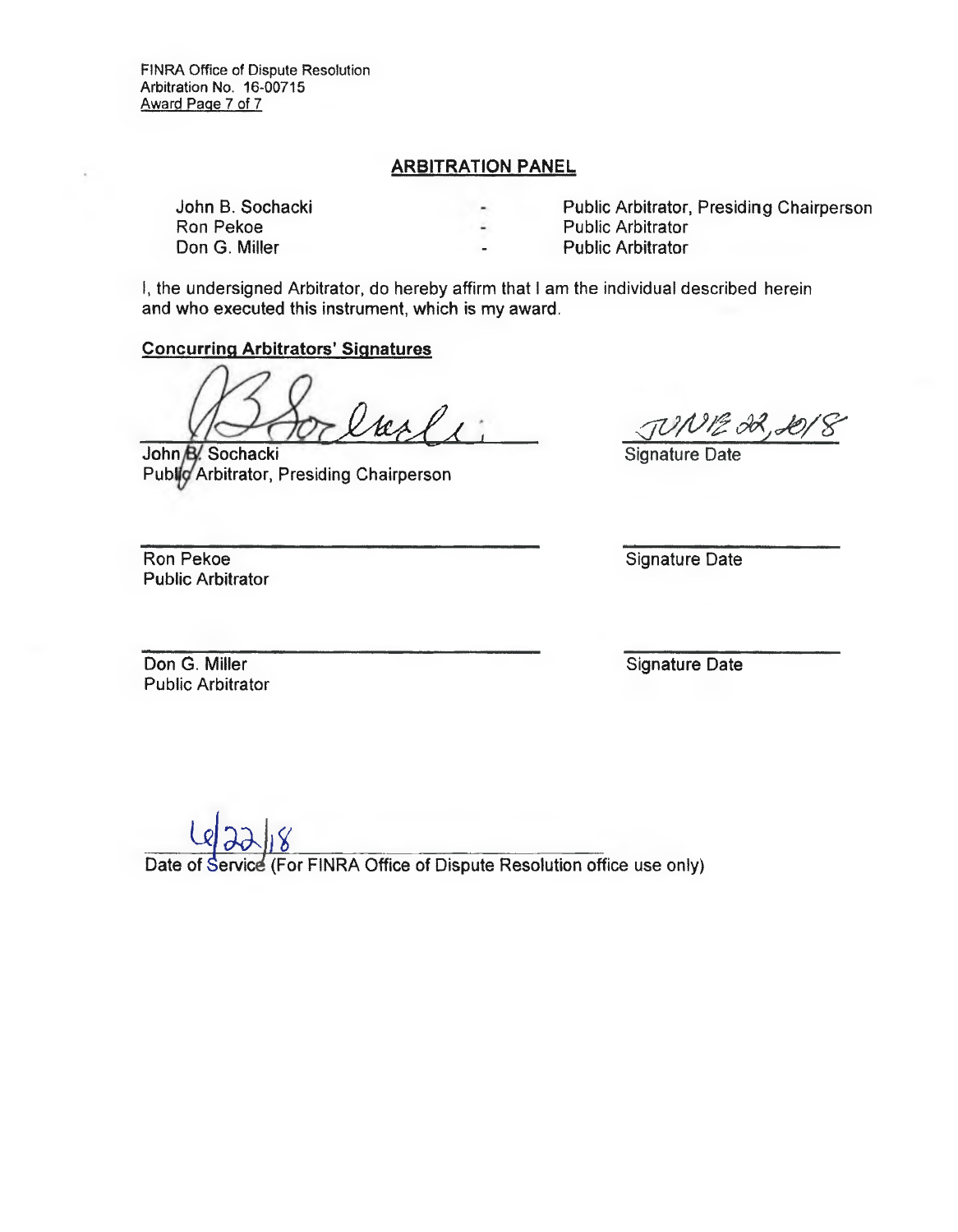### **ARBITRATION PANEL**

Don G. Miller **Public Arbitrator** 

John B. Sochacki Public Arbitrator, Presiding Chairperson Public Arbitrator

I, the undersigned Arbitrator, do hereby affirm that I am the individual described herein and who executed this instrument, which is my award.

#### **Concurring Arbitrators' Signatures**

 $lscl$ 

**John B. Sochacki** Public Arbitrator, Presiding Chairperson

TUNIE 32, Let<br>Signature Date

Ron Pekoe Public Arbitrator Signature Date

Don G. Miller Public Arbitrator Signature Date

Date of Service (For FINRA Office of Dispute Resolution office use only) The Strategy<br>
The Strategy<br>
Control of Strategy<br>
Control of Strategy<br>
The Strategy<br>
Control of Strategy<br>
Control of Strategy<br>
Control of Strategy<br>
Control of Strategy<br>
Control of Strategy<br>
Control of Strategy<br>
Control of S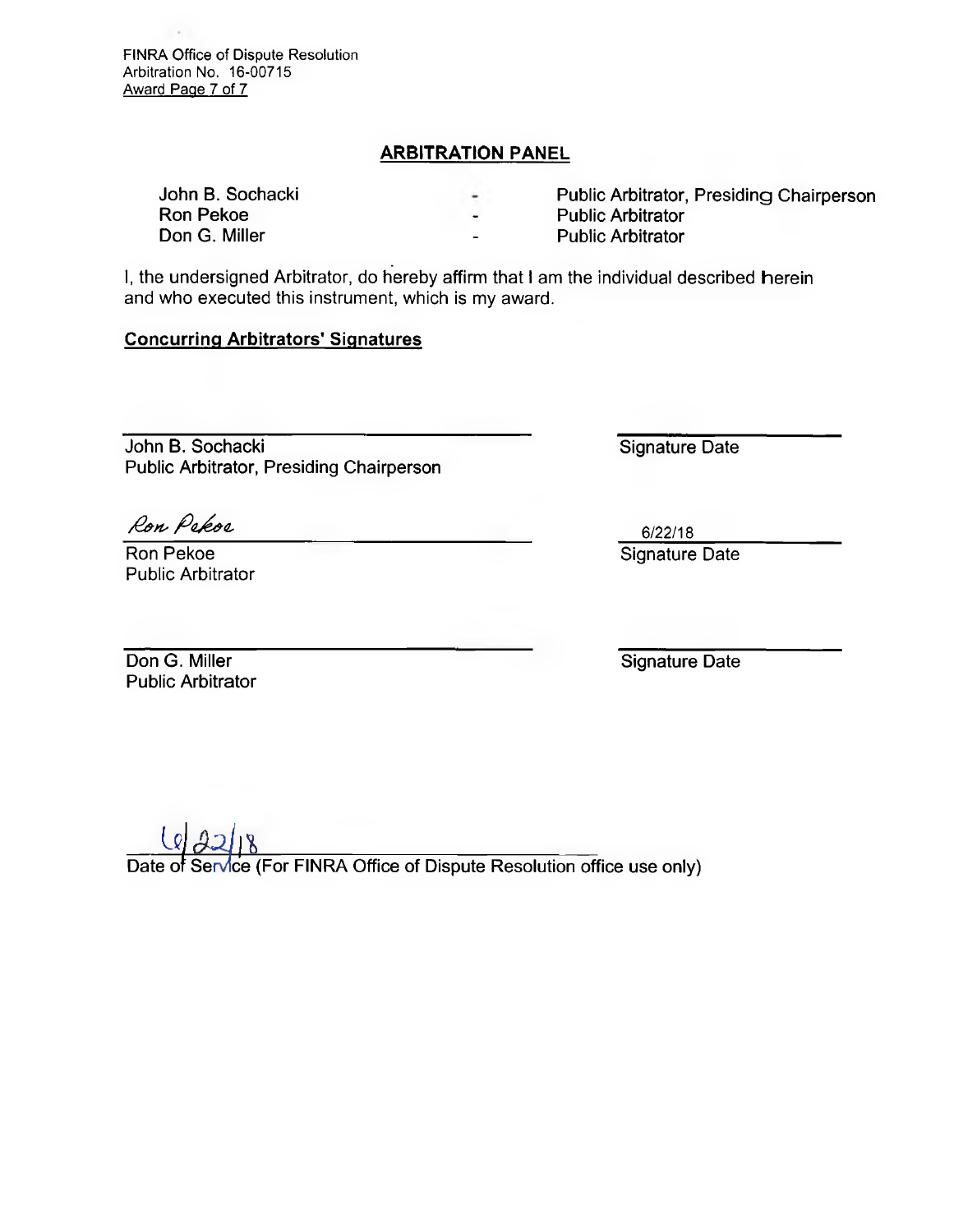FINRA Office of Dispute Resolution Arbitration No. 16-00715 Award Page 7 of 7

# **ARBITRATION PANEL**

**Ron Pekoe 2018**<br> **Ron G. Miller Conduct 2018**<br> **Public Arbitrator** 2019

John B. Sochacki **Public Arbitrator, Presiding Chairperson**<br>
Ron Pekoe **Public Arbitrator** 

- 
- **Public Arbitrator**

**I, the undersigned** Arbitrator, do hereby affirm that l am the individual described herein and who executed this instrument, which is my award.

#### **Concurring Arbitrators' Signatures**

**John B. Sochacki** Signature Date **Public Arbitrator, Presiding Chairperson** 

Ron Pekoe

**Public Arbitrator** 

6/22/18 **Ron Pekoe** Signature Date

**Don G. Miller Contract Contract Contract Contract Contract Contract Contract Contract Contract Contract Contract Contract Contract Contract Contract Contract Contract Contract Contract Contract Contract Contract Contract Public Arbitrator** 

 $LQ22$ 

Date of Service (For FINRA Office of Dispute Resolution office use only)